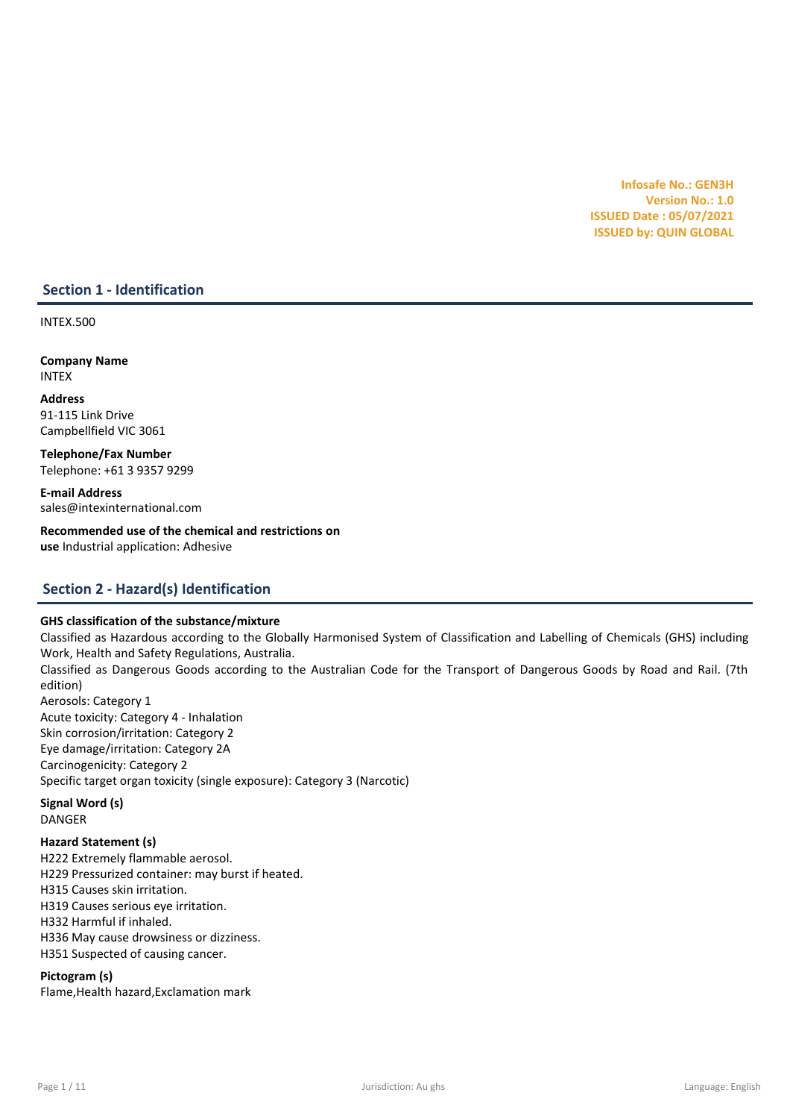## GHS classification of the substance/mixture

Classified as Hazardous according to the Globally Harmonised System of Classification and Labelling of Chemicals (GHS) including Work, Health and Safety Regulations, Australia. Classified as Dangerous Goods according to the Australian Code for the Transport of Dangerous Goods by Road and Rail. (7th edition) Aerosols: Category 1 Acute toxicity: Category 4 - Inhalation Skin corrosion/irritation: Category 2 Eye damage/irritation: Category 2A Carcinogenicity: Category 2

Specific target organ toxicity (single exposure): Category 3 (Narcotic)

Signal Word (s) DANGER

## Hazard Statement (s)

H222 Extremely flammable aerosol. H229 Pressurized container: may burst if heated. H315 Causes skin irritation. H319 Causes serious eye irritation. H332 Harmful if inhaled. H336 May cause drowsiness or dizziness. H351 Suspected of causing cancer.

## Pictogram (s)

Flame,Health hazard,Exclamation mark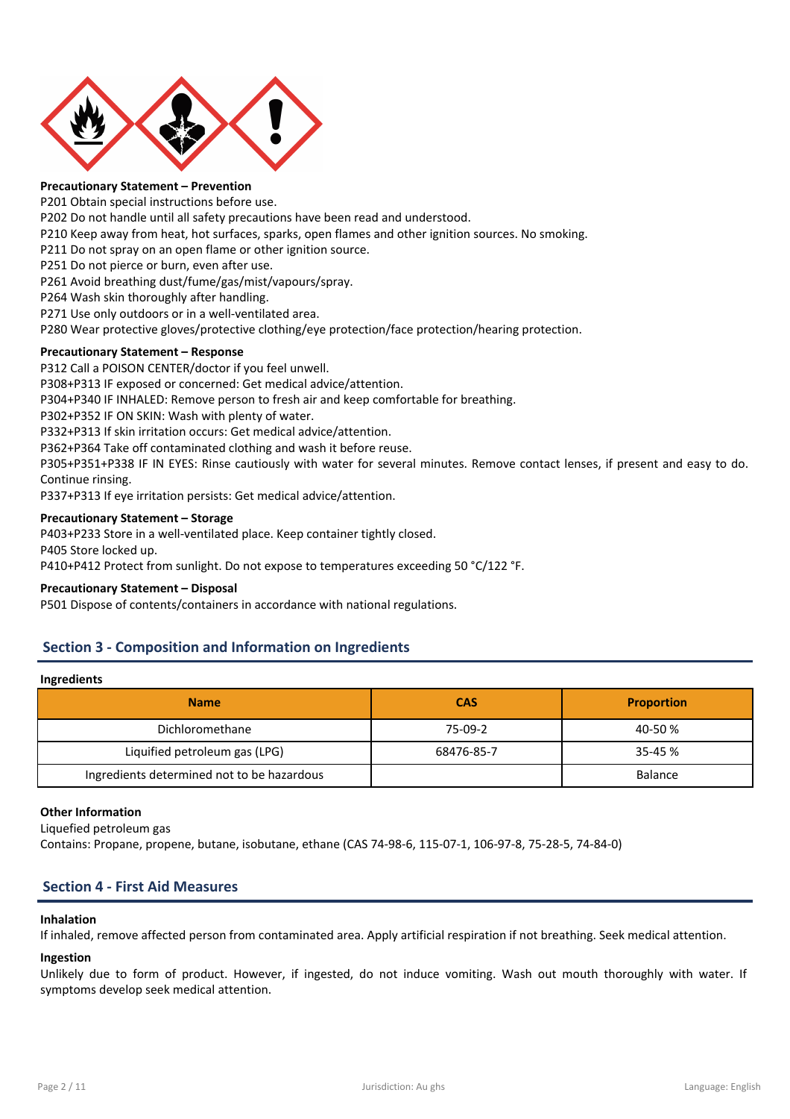



## Precautionary Statement – Prevention

P201 Obtain special instructions before use.

- P202 Do not handle until all safety precautions have been read and understood.
- P210 Keep away from heat, hot surfaces, sparks, open flames and other ignition sources. No smoking.
- P211 Do not spray on an open flame or other ignition source.
- P251 Do not pierce or burn, even after use.

P261 Avoid breathing dust/fume/gas/mist/vapours/spray.

P264 Wash skin thoroughly after handling.

P271 Use only outdoors or in a well-ventilated area.

P280 Wear protective gloves/protective clothing/eye protection/face protection/hearing protection.

## Precautionary Statement – Response

P312 Call a POISON CENTER/doctor if you feel unwell.

P308+P313 IF exposed or concerned: Get medical advice/attention.

P304+P340 IF INHALED: Remove person to fresh air and keep comfortable for breathing.

P302+P352 IF ON SKIN: Wash with plenty of water.

P332+P313 If skin irritation occurs: Get medical advice/attention.

P362+P364 Take off contaminated clothing and wash it before reuse.

P305+P351+P338 IF IN EYES: Rinse cautiously with water for several minutes. Remove contact lenses, if present and easy to do. Continue rinsing.

P337+P313 If eye irritation persists: Get medical advice/attention.

## Precautionary Statement – Storage

P403+P233 Store in a well-ventilated place. Keep container tightly closed. P405 Store locked up. P410+P412 Protect from sunlight. Do not expose to temperatures exceeding 50 °C/122 °F.

## Precautionary Statement – Disposal

P501 Dispose of contents/containers in accordance with national regulations.

## Section 3 - Composition and Information on Ingredients

## Ingredients

| <b>Name</b>                                | <b>CAS</b> | <b>Proportion</b> |
|--------------------------------------------|------------|-------------------|
| Dichloromethane                            | 75-09-2    | 40-50 %           |
| Liquified petroleum gas (LPG)              | 68476-85-7 | 35-45 %           |
| Ingredients determined not to be hazardous |            | <b>Balance</b>    |

## Other Information

Liquefied petroleum gas

Contains: Propane, propene, butane, isobutane, ethane (CAS 74-98-6, 115-07-1, 106-97-8, 75-28-5, 74-84-0)

## Section 4 - First Aid Measures

## Inhalation

If inhaled, remove affected person from contaminated area. Apply artificial respiration if not breathing. Seek medical attention.

## Ingestion

Unlikely due to form of product. However, if ingested, do not induce vomiting. Wash out mouth thoroughly with water. If symptoms develop seek medical attention.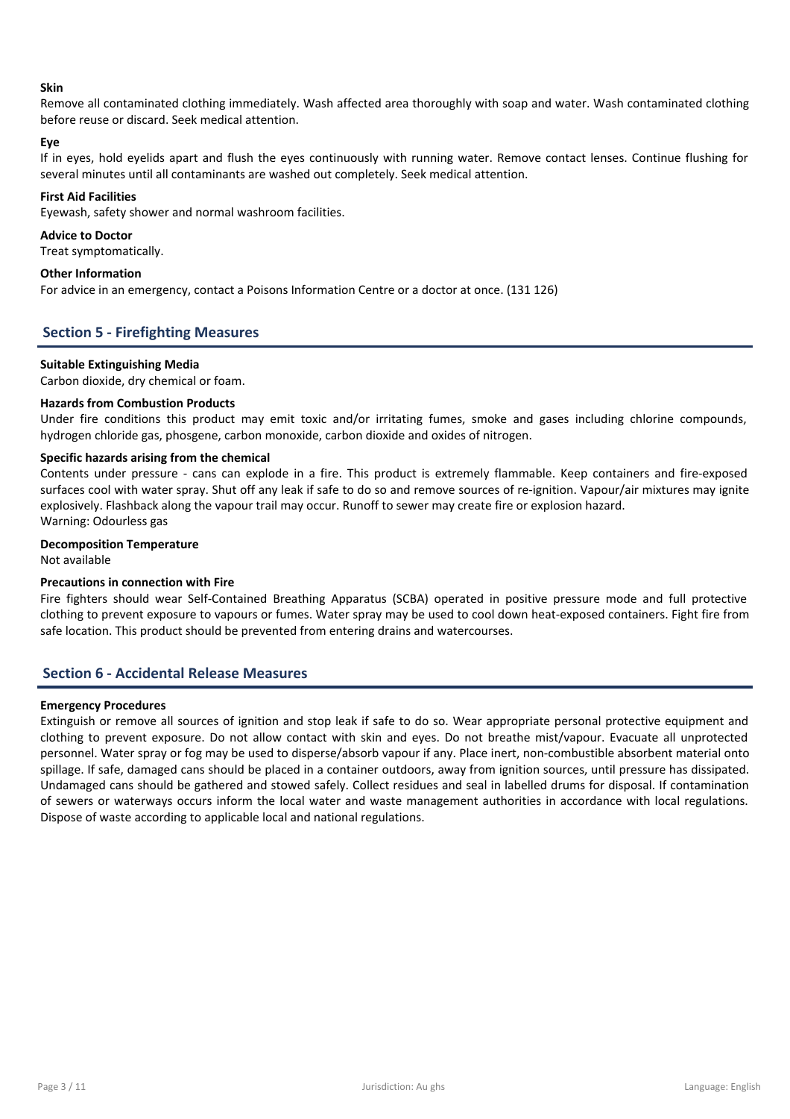

#### Skin

Remove all contaminated clothing immediately. Wash affected area thoroughly with soap and water. Wash contaminated clothing before reuse or discard. Seek medical attention.

#### Eye

If in eyes, hold eyelids apart and flush the eyes continuously with running water. Remove contact lenses. Continue flushing for several minutes until all contaminants are washed out completely. Seek medical attention.

#### First Aid Facilities

Eyewash, safety shower and normal washroom facilities.

#### Advice to Doctor

Treat symptomatically.

## Other Information

For advice in an emergency, contact a Poisons Information Centre or a doctor at once. (131 126)

## Section 5 - Firefighting Measures

#### Suitable Extinguishing Media

Carbon dioxide, dry chemical or foam.

## Hazards from Combustion Products

Under fire conditions this product may emit toxic and/or irritating fumes, smoke and gases including chlorine compounds, hydrogen chloride gas, phosgene, carbon monoxide, carbon dioxide and oxides of nitrogen.

## Specific hazards arising from the chemical

Contents under pressure - cans can explode in a fire. This product is extremely flammable. Keep containers and fire-exposed surfaces cool with water spray. Shut off any leak if safe to do so and remove sources of re-ignition. Vapour/air mixtures may ignite explosively. Flashback along the vapour trail may occur. Runoff to sewer may create fire or explosion hazard. Warning: Odourless gas

## Decomposition Temperature

Not available

## Precautions in connection with Fire

Fire fighters should wear Self-Contained Breathing Apparatus (SCBA) operated in positive pressure mode and full protective clothing to prevent exposure to vapours or fumes. Water spray may be used to cool down heat-exposed containers. Fight fire from safe location. This product should be prevented from entering drains and watercourses.

## Section 6 - Accidental Release Measures

#### Emergency Procedures

Extinguish or remove all sources of ignition and stop leak if safe to do so. Wear appropriate personal protective equipment and clothing to prevent exposure. Do not allow contact with skin and eyes. Do not breathe mist/vapour. Evacuate all unprotected personnel. Water spray or fog may be used to disperse/absorb vapour if any. Place inert, non-combustible absorbent material onto spillage. If safe, damaged cans should be placed in a container outdoors, away from ignition sources, until pressure has dissipated. Undamaged cans should be gathered and stowed safely. Collect residues and seal in labelled drums for disposal. If contamination of sewers or waterways occurs inform the local water and waste management authorities in accordance with local regulations. Dispose of waste according to applicable local and national regulations.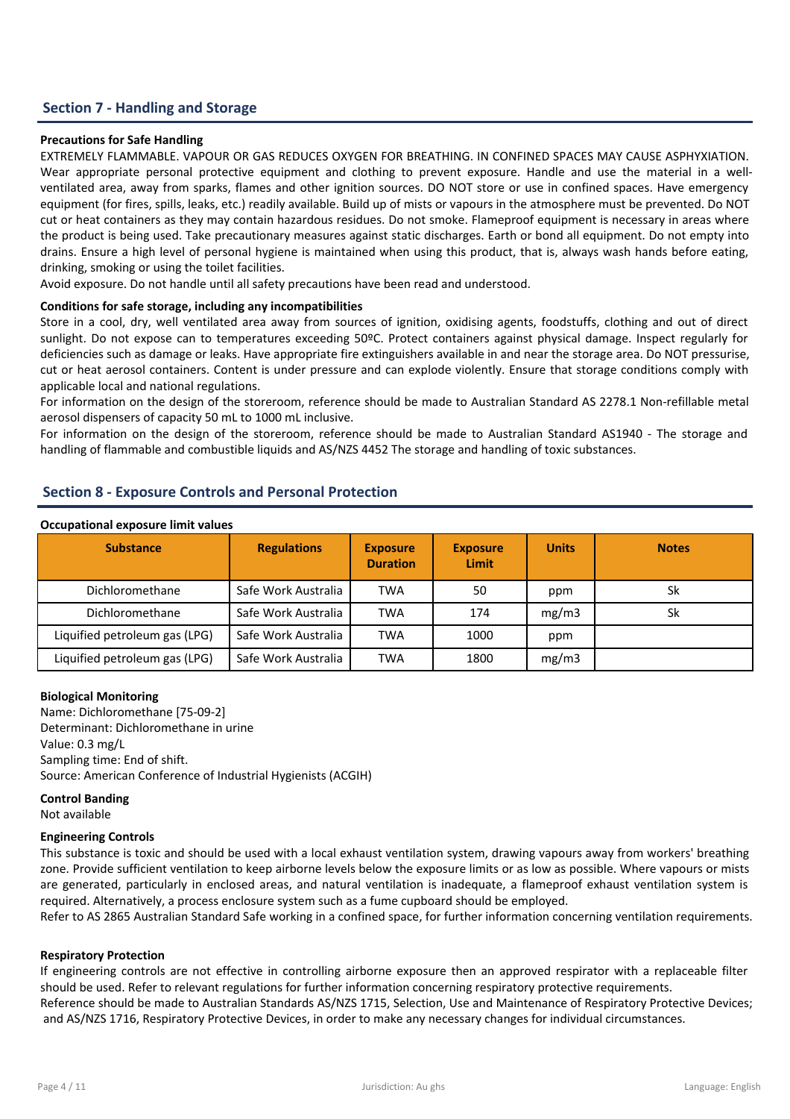## Section 7 - Handling and Storage

## Precautions for Safe Handling

EXTREMELY FLAMMABLE. VAPOUR OR GAS REDUCES OXYGEN FOR BREATHING. IN CONFINED SPACES MAY CAUSE ASPHYXIATION. Wear appropriate personal protective equipment and clothing to prevent exposure. Handle and use the material in a wellventilated area, away from sparks, flames and other ignition sources. DO NOT store or use in confined spaces. Have emergency equipment (for fires, spills, leaks, etc.) readily available. Build up of mists or vapours in the atmosphere must be prevented. Do NOT cut or heat containers as they may contain hazardous residues. Do not smoke. Flameproof equipment is necessary in areas where the product is being used. Take precautionary measures against static discharges. Earth or bond all equipment. Do not empty into drains. Ensure a high level of personal hygiene is maintained when using this product, that is, always wash hands before eating, drinking, smoking or using the toilet facilities.

Avoid exposure. Do not handle until all safety precautions have been read and understood.

## Conditions for safe storage, including any incompatibilities

Store in a cool, dry, well ventilated area away from sources of ignition, oxidising agents, foodstuffs, clothing and out of direct sunlight. Do not expose can to temperatures exceeding 50ºC. Protect containers against physical damage. Inspect regularly for deficiencies such as damage or leaks. Have appropriate fire extinguishers available in and near the storage area. Do NOT pressurise, cut or heat aerosol containers. Content is under pressure and can explode violently. Ensure that storage conditions comply with applicable local and national regulations.

For information on the design of the storeroom, reference should be made to Australian Standard AS 2278.1 Non-refillable metal aerosol dispensers of capacity 50 mL to 1000 mL inclusive.

For information on the design of the storeroom, reference should be made to Australian Standard AS1940 - The storage and handling of flammable and combustible liquids and AS/NZS 4452 The storage and handling of toxic substances.

## Section 8 - Exposure Controls and Personal Protection

#### Occupational exposure limit values

| <u>seempational chposale illine valacs</u> |                     |                                    |                          |              |              |  |  |
|--------------------------------------------|---------------------|------------------------------------|--------------------------|--------------|--------------|--|--|
| <b>Substance</b>                           | <b>Regulations</b>  | <b>Exposure</b><br><b>Duration</b> | <b>Exposure</b><br>Limit | <b>Units</b> | <b>Notes</b> |  |  |
| Dichloromethane                            | Safe Work Australia | <b>TWA</b>                         | 50                       | ppm          | Sk           |  |  |
| Dichloromethane                            | Safe Work Australia | <b>TWA</b>                         | 174                      | mg/m3        | Sk           |  |  |
| Liquified petroleum gas (LPG)              | Safe Work Australia | <b>TWA</b>                         | 1000                     | ppm          |              |  |  |
| Liquified petroleum gas (LPG)              | Safe Work Australia | TWA                                | 1800                     | mg/m3        |              |  |  |

## Biological Monitoring

Name: Dichloromethane [75-09-2] Determinant: Dichloromethane in urine Value: 0.3 mg/L Sampling time: End of shift. Source: American Conference of Industrial Hygienists (ACGIH)

## Control Banding

Not available

## Engineering Controls

This substance is toxic and should be used with a local exhaust ventilation system, drawing vapours away from workers' breathing zone. Provide sufficient ventilation to keep airborne levels below the exposure limits or as low as possible. Where vapours or mists are generated, particularly in enclosed areas, and natural ventilation is inadequate, a flameproof exhaust ventilation system is required. Alternatively, a process enclosure system such as a fume cupboard should be employed.

Refer to AS 2865 Australian Standard Safe working in a confined space, for further information concerning ventilation requirements.

## Respiratory Protection

If engineering controls are not effective in controlling airborne exposure then an approved respirator with a replaceable filter should be used. Refer to relevant regulations for further information concerning respiratory protective requirements. Reference should be made to Australian Standards AS/NZS 1715, Selection, Use and Maintenance of Respiratory Protective Devices; and AS/NZS 1716, Respiratory Protective Devices, in order to make any necessary changes for individual circumstances.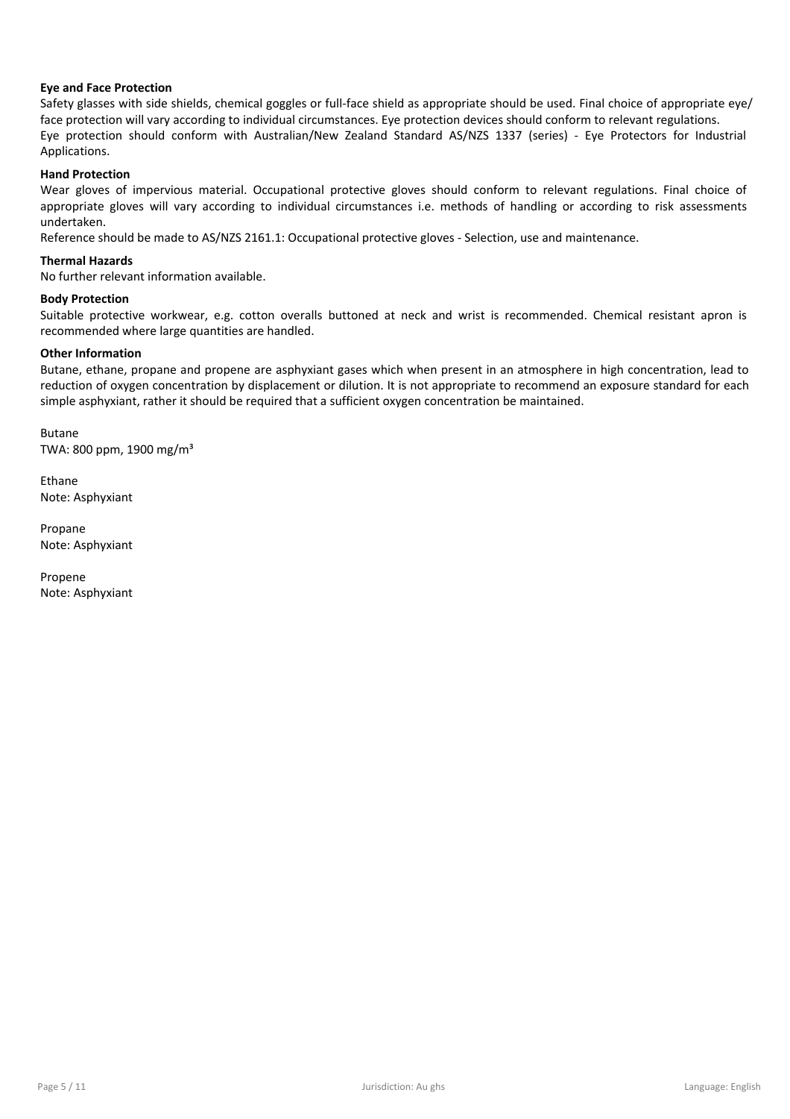# **Intex**

## Eye and Face Protection

Safety glasses with side shields, chemical goggles or full-face shield as appropriate should be used. Final choice of appropriate eye/ face protection will vary according to individual circumstances. Eye protection devices should conform to relevant regulations. Eye protection should conform with Australian/New Zealand Standard AS/NZS 1337 (series) - Eye Protectors for Industrial Applications.

## Hand Protection

Wear gloves of impervious material. Occupational protective gloves should conform to relevant regulations. Final choice of appropriate gloves will vary according to individual circumstances i.e. methods of handling or according to risk assessments undertaken.

Reference should be made to AS/NZS 2161.1: Occupational protective gloves - Selection, use and maintenance.

## Thermal Hazards

No further relevant information available.

## Body Protection

Suitable protective workwear, e.g. cotton overalls buttoned at neck and wrist is recommended. Chemical resistant apron is recommended where large quantities are handled.

## Other Information

Butane, ethane, propane and propene are asphyxiant gases which when present in an atmosphere in high concentration, lead to reduction of oxygen concentration by displacement or dilution. It is not appropriate to recommend an exposure standard for each simple asphyxiant, rather it should be required that a sufficient oxygen concentration be maintained.

Butane TWA: 800 ppm, 1900 mg/m³

Ethane Note: Asphyxiant

Propane Note: Asphyxiant

Propene Note: Asphyxiant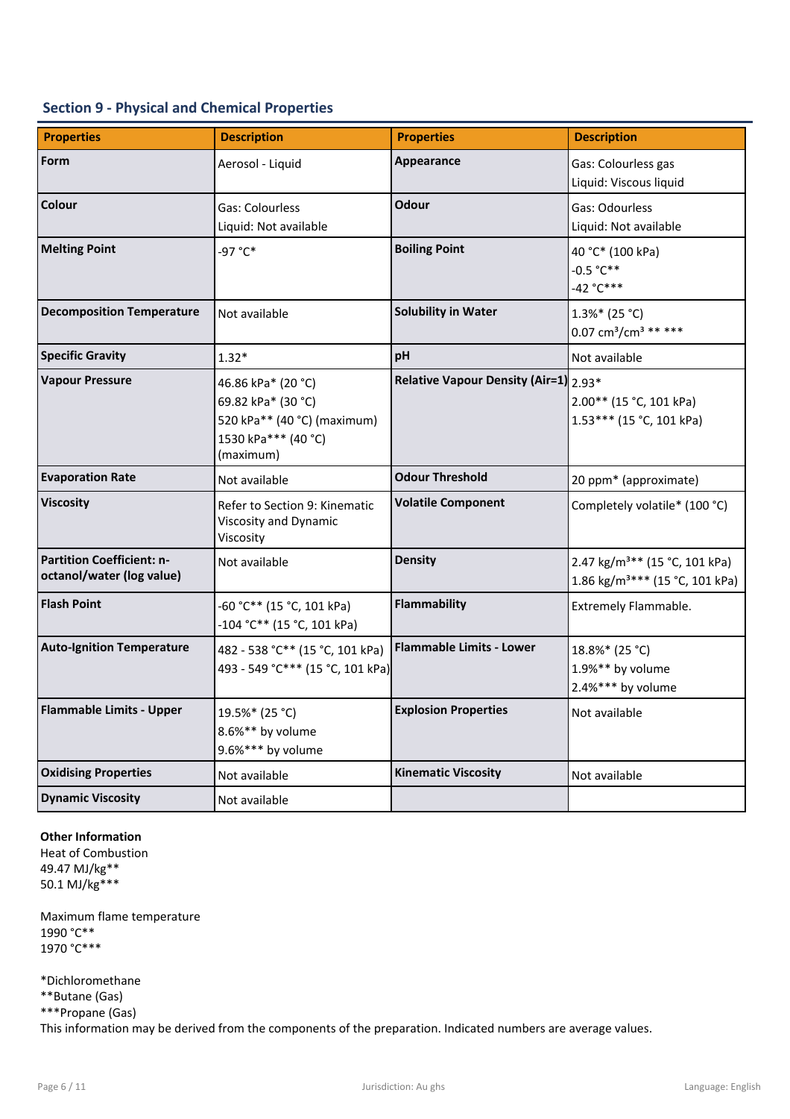## Section 9 - Physical and Chemical Properties

| <b>Properties</b>                                             | <b>Description</b>                                                                                          | <b>Properties</b>                     | <b>Description</b>                                                                      |
|---------------------------------------------------------------|-------------------------------------------------------------------------------------------------------------|---------------------------------------|-----------------------------------------------------------------------------------------|
| Form                                                          | Aerosol - Liquid                                                                                            | Appearance                            | Gas: Colourless gas<br>Liquid: Viscous liquid                                           |
| Colour                                                        | Gas: Colourless<br>Liquid: Not available                                                                    | Odour                                 | Gas: Odourless<br>Liquid: Not available                                                 |
| <b>Melting Point</b>                                          | -97 °C*                                                                                                     | <b>Boiling Point</b>                  | 40 °C* (100 kPa)<br>$-0.5 °C**$<br>$-42 °C***$                                          |
| <b>Decomposition Temperature</b>                              | Not available                                                                                               | <b>Solubility in Water</b>            | $1.3\%*$ (25 °C)<br>0.07 cm <sup>3</sup> /cm <sup>3</sup> ** ***                        |
| <b>Specific Gravity</b>                                       | $1.32*$                                                                                                     | pH                                    | Not available                                                                           |
| <b>Vapour Pressure</b>                                        | 46.86 kPa* (20 °C)<br>69.82 kPa* (30 °C)<br>520 kPa** (40 °C) (maximum)<br>1530 kPa*** (40 °C)<br>(maximum) | Relative Vapour Density (Air=1) 2.93* | $2.00**$ (15 °C, 101 kPa)<br>1.53*** (15 °C, 101 kPa)                                   |
| <b>Evaporation Rate</b>                                       | Not available                                                                                               | <b>Odour Threshold</b>                | 20 ppm* (approximate)                                                                   |
| <b>Viscosity</b>                                              | Refer to Section 9: Kinematic<br>Viscosity and Dynamic<br>Viscosity                                         | <b>Volatile Component</b>             | Completely volatile* (100 °C)                                                           |
| <b>Partition Coefficient: n-</b><br>octanol/water (log value) | Not available                                                                                               | <b>Density</b>                        | 2.47 kg/m <sup>3**</sup> (15 °C, 101 kPa)<br>1.86 kg/m <sup>3***</sup> (15 °C, 101 kPa) |
| <b>Flash Point</b>                                            | -60 °C** (15 °C, 101 kPa)<br>-104 °C** (15 °C, 101 kPa)                                                     | <b>Flammability</b>                   | Extremely Flammable.                                                                    |
| <b>Auto-Ignition Temperature</b>                              | 482 - 538 °C** (15 °C, 101 kPa)<br>493 - 549 °C*** (15 °C, 101 kPa)                                         | <b>Flammable Limits - Lower</b>       | 18.8%* (25 °C)<br>1.9%** by volume<br>2.4%*** by volume                                 |
| <b>Flammable Limits - Upper</b>                               | 19.5%* (25 °C)<br>8.6%** by volume<br>9.6%*** by volume                                                     | <b>Explosion Properties</b>           | Not available                                                                           |
| <b>Oxidising Properties</b>                                   | Not available                                                                                               | <b>Kinematic Viscosity</b>            | Not available                                                                           |
| <b>Dynamic Viscosity</b>                                      | Not available                                                                                               |                                       |                                                                                         |

## Other Information

Heat of Combustion 49.47 MJ/kg\*\* 50.1 MJ/kg\*\*\*

Maximum flame temperature 1990 °C\*\* 1970 °C\*\*\*

 $\textbf{Copyright} \textcircled{\small{\texttt{c0222}}}\ \textbf{Intex} \ \textbf{Group International} \ \textbf{Pty Ltd.}\ \textbf{intex}$ 

\*Dichloromethane

\*\*Butane (Gas)

\*\*\*Propane (Gas)

This information may be derived from the components of the preparation. Indicated numbers are average values.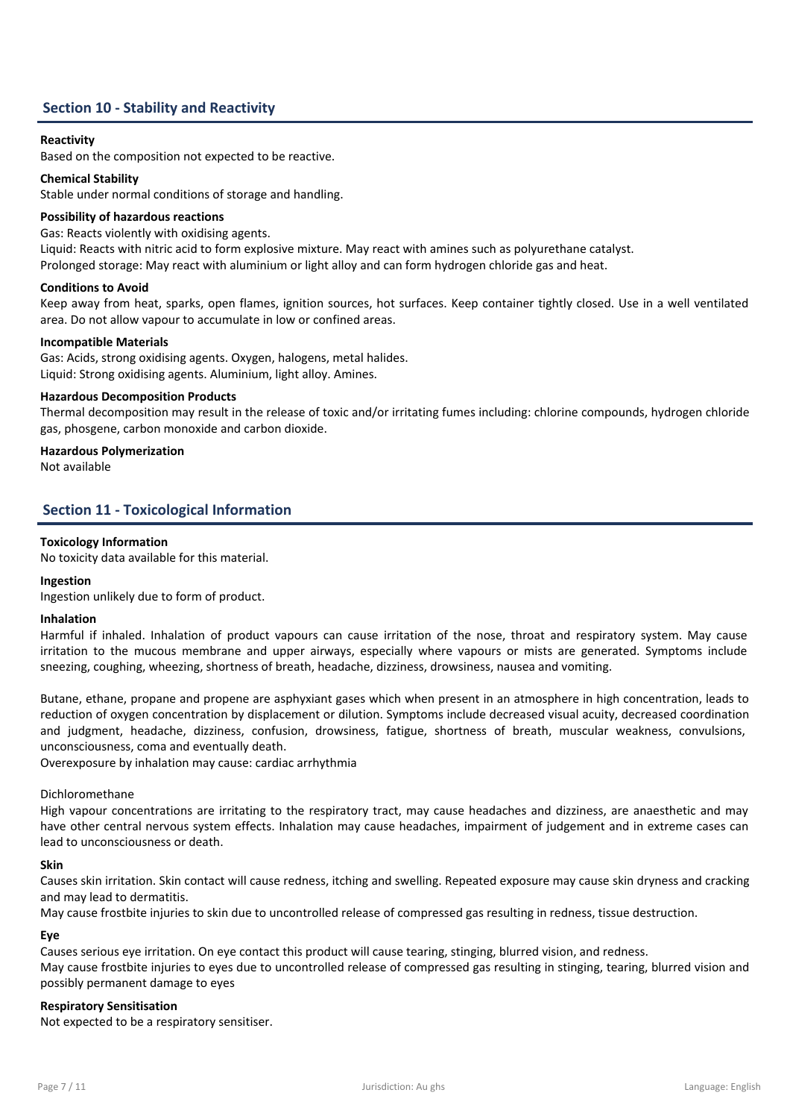

## Section 10 - Stability and Reactivity

## Reactivity

Based on the composition not expected to be reactive.

## Chemical Stability

Stable under normal conditions of storage and handling.

## Possibility of hazardous reactions

Gas: Reacts violently with oxidising agents.

Liquid: Reacts with nitric acid to form explosive mixture. May react with amines such as polyurethane catalyst.

Prolonged storage: May react with aluminium or light alloy and can form hydrogen chloride gas and heat.

## Conditions to Avoid

Keep away from heat, sparks, open flames, ignition sources, hot surfaces. Keep container tightly closed. Use in a well ventilated area. Do not allow vapour to accumulate in low or confined areas.

## Incompatible Materials

Gas: Acids, strong oxidising agents. Oxygen, halogens, metal halides. Liquid: Strong oxidising agents. Aluminium, light alloy. Amines.

## Hazardous Decomposition Products

Thermal decomposition may result in the release of toxic and/or irritating fumes including: chlorine compounds, hydrogen chloride gas, phosgene, carbon monoxide and carbon dioxide.

## Hazardous Polymerization

Not available

## Section 11 - Toxicological Information

## Toxicology Information

No toxicity data available for this material.

## Ingestion

Ingestion unlikely due to form of product.

## Inhalation

Harmful if inhaled. Inhalation of product vapours can cause irritation of the nose, throat and respiratory system. May cause irritation to the mucous membrane and upper airways, especially where vapours or mists are generated. Symptoms include sneezing, coughing, wheezing, shortness of breath, headache, dizziness, drowsiness, nausea and vomiting.

Butane, ethane, propane and propene are asphyxiant gases which when present in an atmosphere in high concentration, leads to reduction of oxygen concentration by displacement or dilution. Symptoms include decreased visual acuity, decreased coordination and judgment, headache, dizziness, confusion, drowsiness, fatigue, shortness of breath, muscular weakness, convulsions, unconsciousness, coma and eventually death.

Overexposure by inhalation may cause: cardiac arrhythmia

## Dichloromethane

High vapour concentrations are irritating to the respiratory tract, may cause headaches and dizziness, are anaesthetic and may have other central nervous system effects. Inhalation may cause headaches, impairment of judgement and in extreme cases can lead to unconsciousness or death.

## Skin

Causes skin irritation. Skin contact will cause redness, itching and swelling. Repeated exposure may cause skin dryness and cracking and may lead to dermatitis.

May cause frostbite injuries to skin due to uncontrolled release of compressed gas resulting in redness, tissue destruction.

## Eye

Causes serious eye irritation. On eye contact this product will cause tearing, stinging, blurred vision, and redness.

May cause frostbite injuries to eyes due to uncontrolled release of compressed gas resulting in stinging, tearing, blurred vision and possibly permanent damage to eyes

## Respiratory Sensitisation

Not expected to be a respiratory sensitiser.

Copyright © 2022 Intex Group International Pty Ltd. intexinternational.com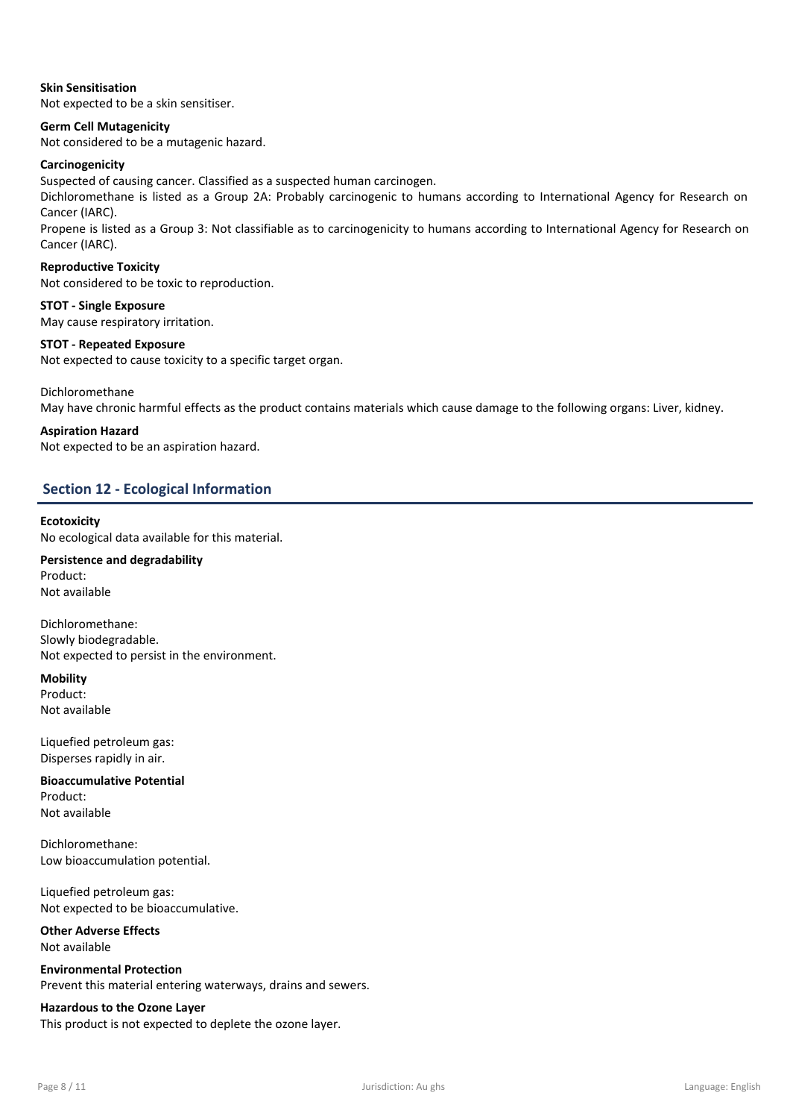

## Skin Sensitisation

Not expected to be a skin sensitiser.

## Germ Cell Mutagenicity

Not considered to be a mutagenic hazard.

## Carcinogenicity

Suspected of causing cancer. Classified as a suspected human carcinogen.

Dichloromethane is listed as a Group 2A: Probably carcinogenic to humans according to International Agency for Research on Cancer (IARC).

Propene is listed as a Group 3: Not classifiable as to carcinogenicity to humans according to International Agency for Research on Cancer (IARC).

## Reproductive Toxicity

Not considered to be toxic to reproduction.

STOT - Single Exposure May cause respiratory irritation.

## STOT - Repeated Exposure

Not expected to cause toxicity to a specific target organ.

Dichloromethane

May have chronic harmful effects as the product contains materials which cause damage to the following organs: Liver, kidney.

## Aspiration Hazard

Not expected to be an aspiration hazard.

## Section 12 - Ecological Information

## **Ecotoxicity**

No ecological data available for this material.

Persistence and degradability Product: Not available

Dichloromethane: Slowly biodegradable. Not expected to persist in the environment.

**Mobility** Product:

Not available

Liquefied petroleum gas: Disperses rapidly in air.

Bioaccumulative Potential Product: Not available

Dichloromethane: Low bioaccumulation potential.

Liquefied petroleum gas: Not expected to be bioaccumulative.

Other Adverse Effects Not available

Environmental Protection Prevent this material entering waterways, drains and sewers.

Hazardous to the Ozone Layer This product is not expected to deplete the ozone layer.

Copyright © 2022 Intex Group International Pty Ltd. intexinternational.com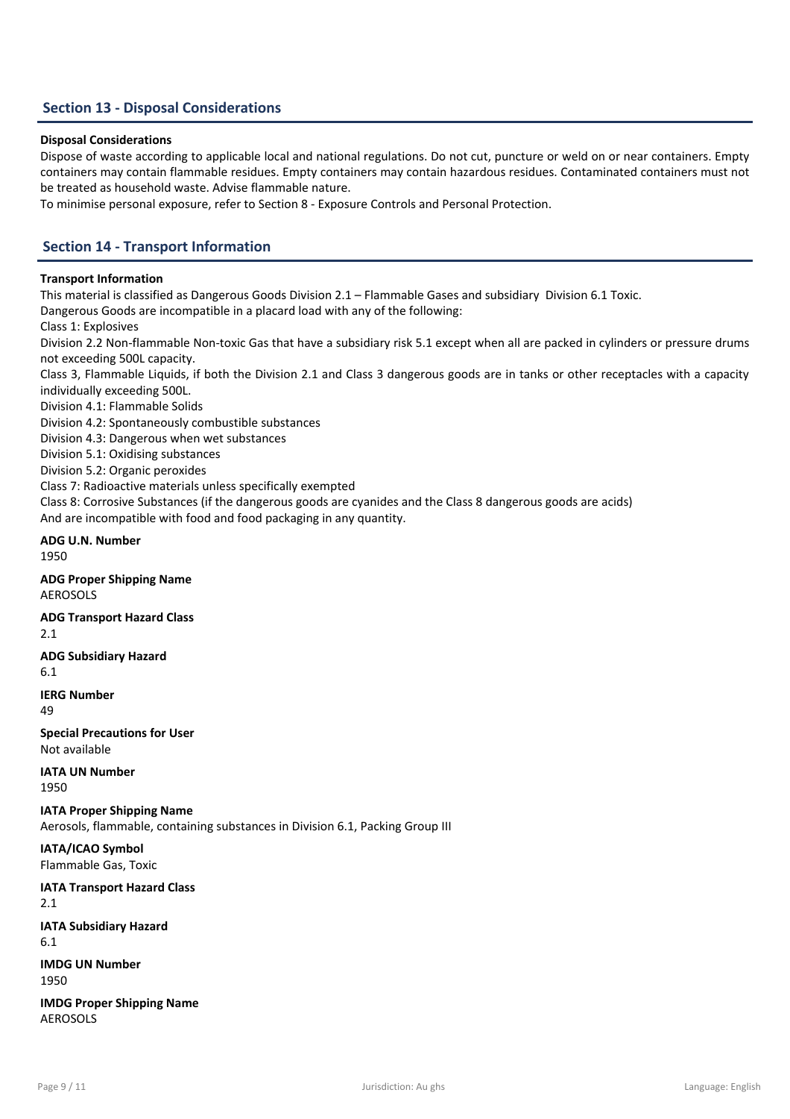

## Section 13 - Disposal Considerations

## Disposal Considerations

Dispose of waste according to applicable local and national regulations. Do not cut, puncture or weld on or near containers. Empty containers may contain flammable residues. Empty containers may contain hazardous residues. Contaminated containers must not be treated as household waste. Advise flammable nature.

To minimise personal exposure, refer to Section 8 - Exposure Controls and Personal Protection.

## Section 14 - Transport Information

#### Transport Information

This material is classified as Dangerous Goods Division 2.1 – Flammable Gases and subsidiary Division 6.1 Toxic.

Dangerous Goods are incompatible in a placard load with any of the following:

Class 1: Explosives

Division 2.2 Non-flammable Non-toxic Gas that have a subsidiary risk 5.1 except when all are packed in cylinders or pressure drums not exceeding 500L capacity.

Class 3, Flammable Liquids, if both the Division 2.1 and Class 3 dangerous goods are in tanks or other receptacles with a capacity individually exceeding 500L.

Division 4.1: Flammable Solids

Division 4.2: Spontaneously combustible substances

Division 4.3: Dangerous when wet substances

Division 5.1: Oxidising substances

Division 5.2: Organic peroxides

Class 7: Radioactive materials unless specifically exempted

Class 8: Corrosive Substances (if the dangerous goods are cyanides and the Class 8 dangerous goods are acids)

And are incompatible with food and food packaging in any quantity.

#### ADG U.N. Number 1950

ADG Proper Shipping Name AEROSOLS

ADG Transport Hazard Class

2.1

## ADG Subsidiary Hazard

6.1

IERG Number 49

Special Precautions for User Not available

## IATA UN Number

1950

IATA Proper Shipping Name

Aerosols, flammable, containing substances in Division 6.1, Packing Group III

IATA/ICAO Symbol

Flammable Gas, Toxic

IATA Transport Hazard Class

2.1

IATA Subsidiary Hazard

6.1

IMDG UN Number 1950

IMDG Proper Shipping Name AEROSOLS

Copyright © 2022 Intex Group International Pty Ltd. intexinternational.com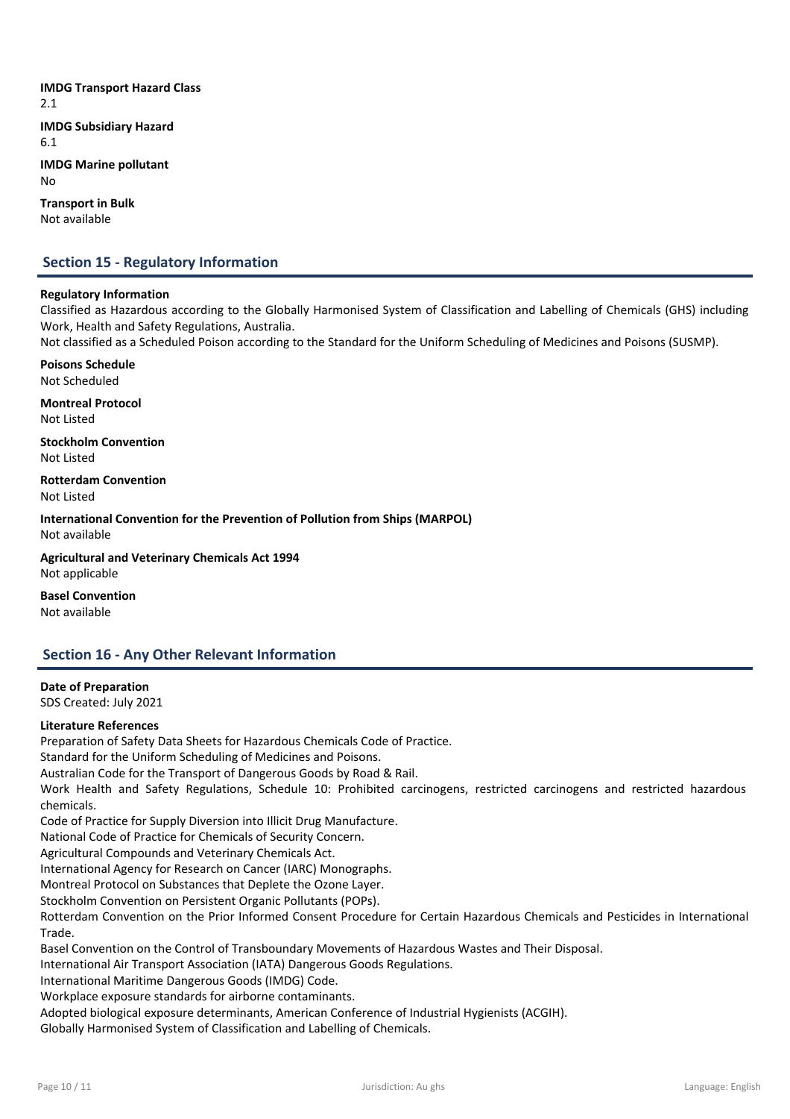

IMDG Transport Hazard Class 2.1 IMDG Subsidiary Hazard 6.1

IMDG Marine pollutant No

Transport in Bulk Not available

## Section 15 - Regulatory Information

## Regulatory Information

Classified as Hazardous according to the Globally Harmonised System of Classification and Labelling of Chemicals (GHS) including Work, Health and Safety Regulations, Australia.

Not classified as a Scheduled Poison according to the Standard for the Uniform Scheduling of Medicines and Poisons (SUSMP).

Poisons Schedule Not Scheduled

Montreal Protocol Not Listed

Stockholm Convention Not Listed

Rotterdam Convention

Not Listed

International Convention for the Prevention of Pollution from Ships (MARPOL) Not available

Agricultural and Veterinary Chemicals Act 1994 Not applicable

Basel Convention Not available

## Section 16 - Any Other Relevant Information

## Date of Preparation SDS Created: July 2021

Literature References

Preparation of Safety Data Sheets for Hazardous Chemicals Code of Practice.

Standard for the Uniform Scheduling of Medicines and Poisons.

Australian Code for the Transport of Dangerous Goods by Road & Rail.

Work Health and Safety Regulations, Schedule 10: Prohibited carcinogens, restricted carcinogens and restricted hazardous chemicals.

Code of Practice for Supply Diversion into Illicit Drug Manufacture.

National Code of Practice for Chemicals of Security Concern.

Agricultural Compounds and Veterinary Chemicals Act.

International Agency for Research on Cancer (IARC) Monographs.

Montreal Protocol on Substances that Deplete the Ozone Layer.

Stockholm Convention on Persistent Organic Pollutants (POPs).

Rotterdam Convention on the Prior Informed Consent Procedure for Certain Hazardous Chemicals and Pesticides in International Trade.

Basel Convention on the Control of Transboundary Movements of Hazardous Wastes and Their Disposal.

International Air Transport Association (IATA) Dangerous Goods Regulations.

International Maritime Dangerous Goods (IMDG) Code.

Copyright © 2022 Intex Group International Pty Ltd. intexinternational.com

Workplace exposure standards for airborne contaminants.

Adopted biological exposure determinants, American Conference of Industrial Hygienists (ACGIH).

Globally Harmonised System of Classification and Labelling of Chemicals.